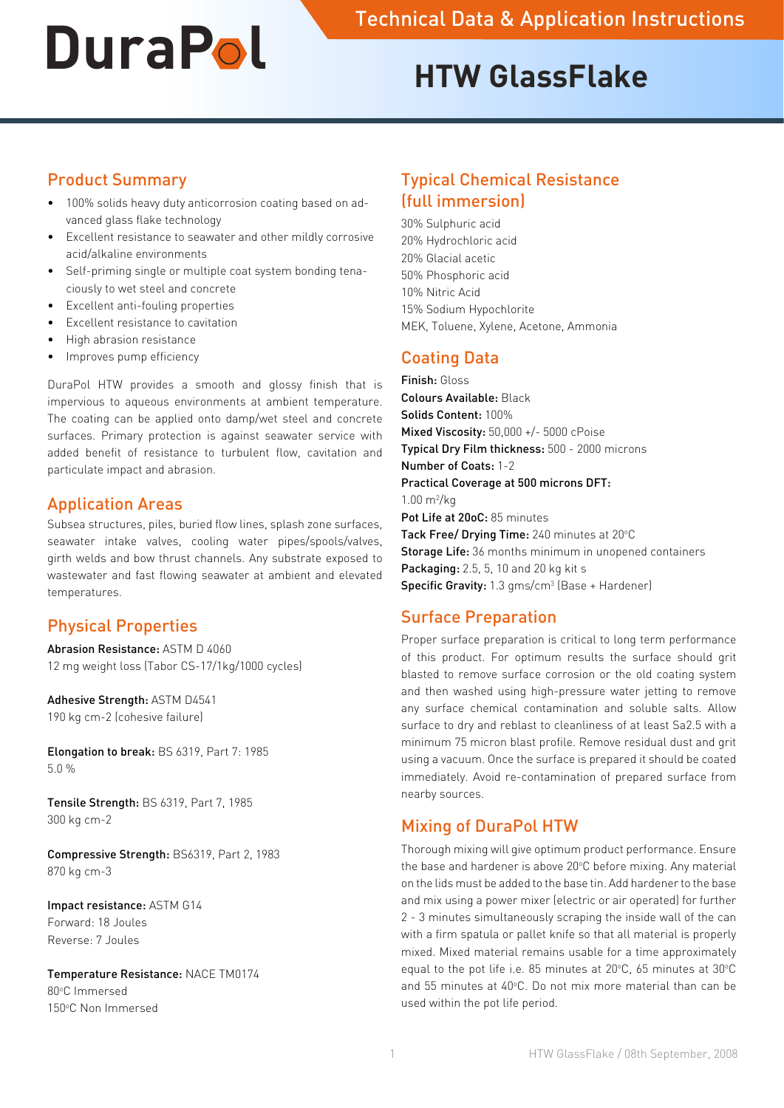# **HTW GlassFlake**

#### Product Summary

- 100% solids heavy duty anticorrosion coating based on advanced glass flake technology
- Excellent resistance to seawater and other mildly corrosive acid/alkaline environments
- • Self-priming single or multiple coat system bonding tenaciously to wet steel and concrete
- Excellent anti-fouling properties
- Excellent resistance to cavitation
- High abrasion resistance
- • Improves pump efficiency

DuraPol HTW provides a smooth and glossy finish that is impervious to aqueous environments at ambient temperature. The coating can be applied onto damp/wet steel and concrete surfaces. Primary protection is against seawater service with added benefit of resistance to turbulent flow, cavitation and particulate impact and abrasion.

#### Application Areas

Subsea structures, piles, buried flow lines, splash zone surfaces, seawater intake valves, cooling water pipes/spools/valves, girth welds and bow thrust channels. Any substrate exposed to wastewater and fast flowing seawater at ambient and elevated temperatures.

# Physical Properties

Abrasion Resistance: ASTM D 4060 12 mg weight loss (Tabor CS-17/1kg/1000 cycles)

Adhesive Strength: ASTM D4541 190 kg cm-2 (cohesive failure)

Elongation to break: BS 6319, Part 7: 1985 5.0 %

Tensile Strength: BS 6319, Part 7, 1985 300 kg cm-2

Compressive Strength: BS6319, Part 2, 1983 870 kg cm-3

Impact resistance: ASTM G14 Forward: 18 Joules Reverse: 7 Joules

Temperature Resistance: NACE TM0174 80°C Immersed 150°C Non Immersed

# Typical Chemical Resistance (full immersion)

30% Sulphuric acid 20% Hydrochloric acid 20% Glacial acetic 50% Phosphoric acid 10% Nitric Acid 15% Sodium Hypochlorite MEK, Toluene, Xylene, Acetone, Ammonia

# Coating Data

Finish: Gloss Colours Available: Black Solids Content: 100% Mixed Viscosity: 50,000 +/- 5000 cPoise Typical Dry Film thickness: 500 - 2000 microns Number of Coats: 1-2 Practical Coverage at 500 microns DFT:  $1.00 \text{ m}^2/\text{kg}$ Pot Life at 20oC: 85 minutes Tack Free/ Drying Time: 240 minutes at 20°C Storage Life: 36 months minimum in unopened containers Packaging: 2.5, 5, 10 and 20 kg kit s **Specific Gravity:** 1.3  $gms/cm<sup>3</sup>$  (Base + Hardener)

# Surface Preparation

Proper surface preparation is critical to long term performance of this product. For optimum results the surface should grit blasted to remove surface corrosion or the old coating system and then washed using high-pressure water jetting to remove any surface chemical contamination and soluble salts. Allow surface to dry and reblast to cleanliness of at least Sa2.5 with a minimum 75 micron blast profile. Remove residual dust and grit using a vacuum. Once the surface is prepared it should be coated immediately. Avoid re-contamination of prepared surface from nearby sources.

# Mixing of DuraPol HTW

Thorough mixing will give optimum product performance. Ensure the base and hardener is above 20°C before mixing. Any material on the lids must be added to the base tin. Add hardener to the base and mix using a power mixer (electric or air operated) for further 2 - 3 minutes simultaneously scraping the inside wall of the can with a firm spatula or pallet knife so that all material is properly mixed. Mixed material remains usable for a time approximately equal to the pot life i.e. 85 minutes at 20 $\degree$ C, 65 minutes at 30 $\degree$ C and 55 minutes at 40°C. Do not mix more material than can be used within the pot life period.